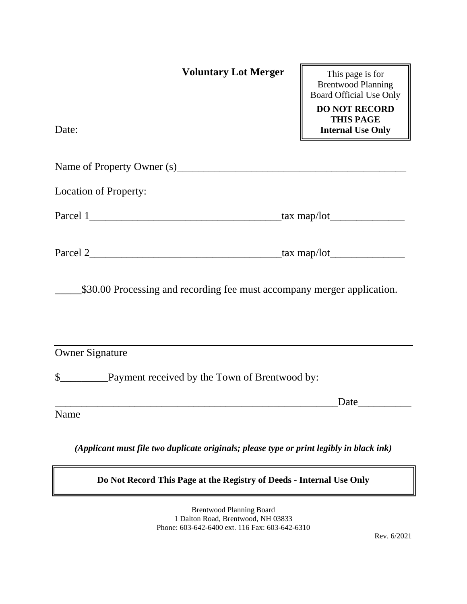| <b>Voluntary Lot Merger</b>                                                              | This page is for<br><b>Brentwood Planning</b><br><b>Board Official Use Only</b><br><b>DO NOT RECORD</b> |  |  |
|------------------------------------------------------------------------------------------|---------------------------------------------------------------------------------------------------------|--|--|
| Date:                                                                                    | <b>THIS PAGE</b><br><b>Internal Use Only</b>                                                            |  |  |
|                                                                                          |                                                                                                         |  |  |
| <b>Location of Property:</b>                                                             |                                                                                                         |  |  |
|                                                                                          |                                                                                                         |  |  |
|                                                                                          |                                                                                                         |  |  |
| \$30.00 Processing and recording fee must accompany merger application.                  |                                                                                                         |  |  |
| <b>Owner Signature</b>                                                                   |                                                                                                         |  |  |
|                                                                                          |                                                                                                         |  |  |
|                                                                                          | Date                                                                                                    |  |  |
| Name                                                                                     |                                                                                                         |  |  |
| (Applicant must file two duplicate originals; please type or print legibly in black ink) |                                                                                                         |  |  |

## **Do Not Record This Page at the Registry of Deeds - Internal Use Only**

Brentwood Planning Board 1 Dalton Road, Brentwood, NH 03833 Phone: 603-642-6400 ext. 116 Fax: 603-642-6310

Rev. 6/2021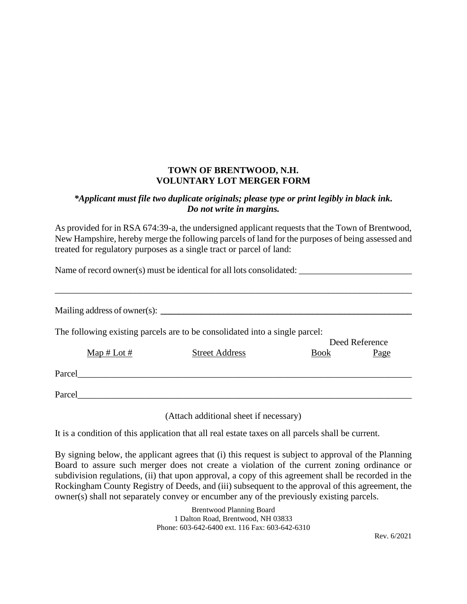## **TOWN OF BRENTWOOD, N.H. VOLUNTARY LOT MERGER FORM**

## *\*Applicant must file two duplicate originals; please type or print legibly in black ink. Do not write in margins.*

As provided for in RSA 674:39-a, the undersigned applicant requests that the Town of Brentwood, New Hampshire, hereby merge the following parcels of land for the purposes of being assessed and treated for regulatory purposes as a single tract or parcel of land:

Name of record owner(s) must be identical for all lots consolidated: \_\_\_\_\_\_\_\_\_\_\_\_\_\_\_\_\_\_\_\_\_\_\_\_\_ \_\_\_\_\_\_\_\_\_\_\_\_\_\_\_\_\_\_\_\_\_\_\_\_\_\_\_\_\_\_\_\_\_\_\_\_\_\_\_\_\_\_\_\_\_\_\_\_\_\_\_\_\_\_\_\_\_\_\_\_\_\_\_\_\_\_\_\_\_\_\_\_\_\_\_\_\_\_\_\_ Mailing address of owner(s): **\_\_\_\_\_\_\_\_\_\_\_\_\_\_\_\_\_\_\_\_\_\_\_\_\_\_\_\_\_\_\_\_\_\_\_\_\_\_\_\_\_\_\_\_\_\_\_\_\_\_\_\_\_\_\_\_** The following existing parcels are to be consolidated into a single parcel: Deed Reference

|        |                                  |                       | DUU KUUUNU  |      |
|--------|----------------------------------|-----------------------|-------------|------|
|        | $\underline{\text{Map}}$ # Lot # | <b>Street Address</b> | <b>Book</b> | Page |
| Parcel |                                  |                       |             |      |
| Parcel |                                  |                       |             |      |

(Attach additional sheet if necessary)

It is a condition of this application that all real estate taxes on all parcels shall be current.

By signing below, the applicant agrees that (i) this request is subject to approval of the Planning Board to assure such merger does not create a violation of the current zoning ordinance or subdivision regulations, (ii) that upon approval, a copy of this agreement shall be recorded in the Rockingham County Registry of Deeds, and (iii) subsequent to the approval of this agreement, the owner(s) shall not separately convey or encumber any of the previously existing parcels.

> Brentwood Planning Board 1 Dalton Road, Brentwood, NH 03833 Phone: 603-642-6400 ext. 116 Fax: 603-642-6310